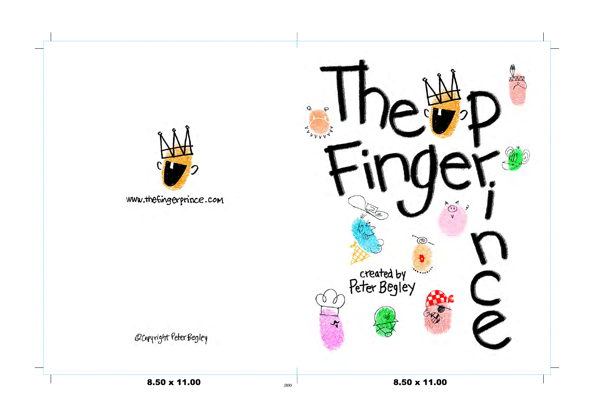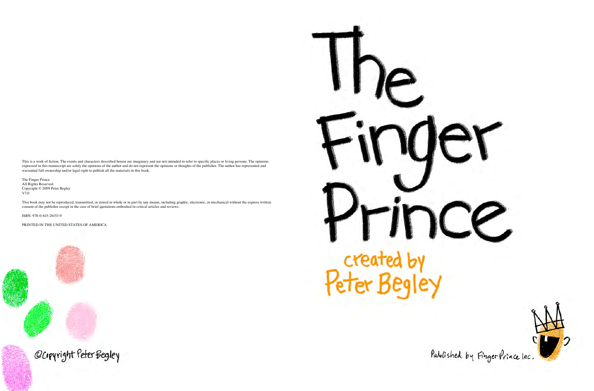This is a work of fiction. The events and characters described herein are imaginary and are not intended to refer to specific places or living persons. The opinions expressed in this manuscript are solely the opinions of the author and do not represent the opinions or thoughts of the publisher. The author has represented and warranted full ownership and/or legal right to publish all the materials in this book.

The Finger Prince All Rights Reserved. Copyright © 2009 Peter Begley V3.0

This book may not be reproduced, transmitted, or stored in whole or in part by any means, including graphic, electronic, or mechanical without the express written consent of the publisher except in the case of brief quotations embodied in critical articles and reviews.

ISBN: 978-0-615-26153-9

PRINTED IN THE UNITED STATES OF AMERICA



## created by<br>Peter Begley







Published by Finger Prince Inc.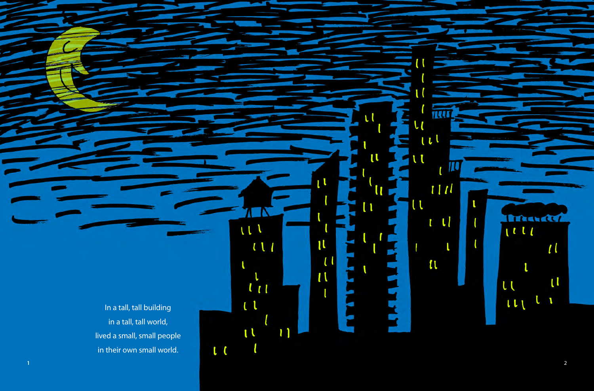In a tall, tall building in a tall, tall world, lived a small, small people in their own small world.



u

l

īΙ

π

 $\mathfrak{a}$ 

 $111$ 

 $\iota\iota\iota$ 

 $\tilde{u}_1$ 

 $\mathbf{1}$ 

 $\iota$ 

 $\mathfrak{t}$ 

 $\iota$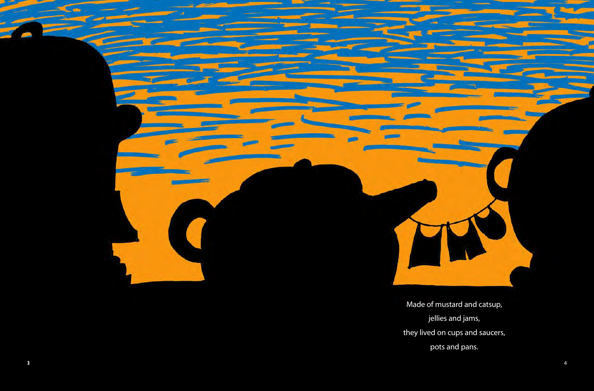

Made of mustard and catsup, jellies and jams, they lived on cups and saucers, pots and pans.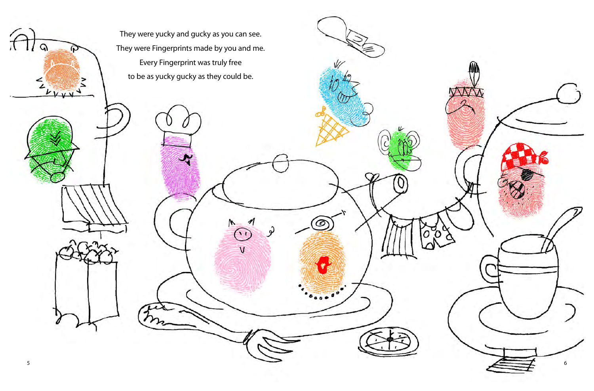$\left\{ \widehat{c}\right\}$ 

 $\Omega$ 

ሩ  $\overline{L}$ 

 $\mathbf{v}$ 

They were yucky and gucky as you can see. They were Fingerprints made by you and me. Every Fingerprint was truly free to be as yucky gucky as they could be.

C

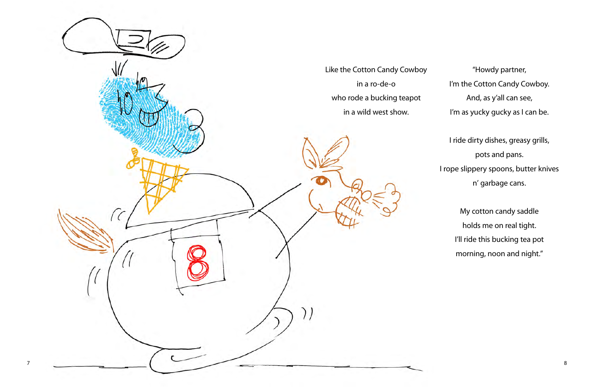"Howdy partner, I'm the Cotton Candy Cowboy. And, as y'all can see, I'm as yucky gucky as I can be.

I ride dirty dishes, greasy grills, pots and pans. I rope slippery spoons, butter knives n' garbage cans.



My cotton candy saddle holds me on real tight. I'll ride this bucking tea pot morning, noon and night."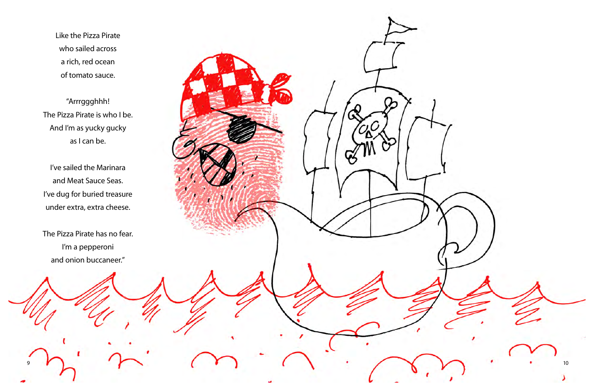9

Like the Pizza Pirate who sailed across a rich, red ocean of tomato sauce.

"Arrrggghhh! The Pizza Pirate is who I be. And I'm as yucky gucky as I can be.

I've sailed the Marinara and Meat Sauce Seas. I've dug for buried treasure under extra, extra cheese.

The Pizza Pirate has no fear. I'm a pepperoni and onion buccaneer."